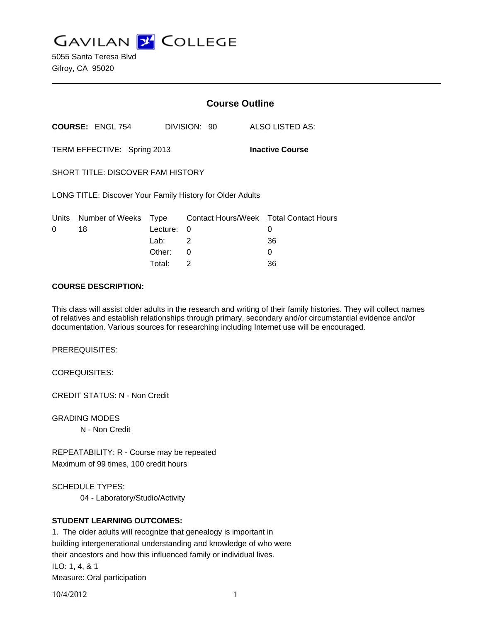**GAVILAN Z COLLEGE** 

5055 Santa Teresa Blvd Gilroy, CA 95020

|                                                           |                         | <b>Course Outline</b> |              |  |                                        |
|-----------------------------------------------------------|-------------------------|-----------------------|--------------|--|----------------------------------------|
|                                                           | <b>COURSE: ENGL 754</b> |                       | DIVISION: 90 |  | ALSO LISTED AS:                        |
| <b>Inactive Course</b><br>TERM EFFECTIVE: Spring 2013     |                         |                       |              |  |                                        |
| SHORT TITLE: DISCOVER FAM HISTORY                         |                         |                       |              |  |                                        |
| LONG TITLE: Discover Your Family History for Older Adults |                         |                       |              |  |                                        |
|                                                           | Units Number of Weeks   | Type                  |              |  | Contact Hours/Week Total Contact Hours |
| 0                                                         | 18                      | Lecture:              | $\Omega$     |  | 0                                      |
|                                                           |                         | Lab: .                | 2            |  | 36                                     |
|                                                           |                         | Other:                | 0            |  | 0                                      |
|                                                           |                         | Total:                | 2            |  | 36                                     |

### **COURSE DESCRIPTION:**

This class will assist older adults in the research and writing of their family histories. They will collect names of relatives and establish relationships through primary, secondary and/or circumstantial evidence and/or documentation. Various sources for researching including Internet use will be encouraged.

PREREQUISITES:

COREQUISITES:

CREDIT STATUS: N - Non Credit

GRADING MODES

N - Non Credit

REPEATABILITY: R - Course may be repeated Maximum of 99 times, 100 credit hours

SCHEDULE TYPES:

04 - Laboratory/Studio/Activity

## **STUDENT LEARNING OUTCOMES:**

1. The older adults will recognize that genealogy is important in building intergenerational understanding and knowledge of who were their ancestors and how this influenced family or individual lives. ILO: 1, 4, & 1 Measure: Oral participation

10/4/2012 1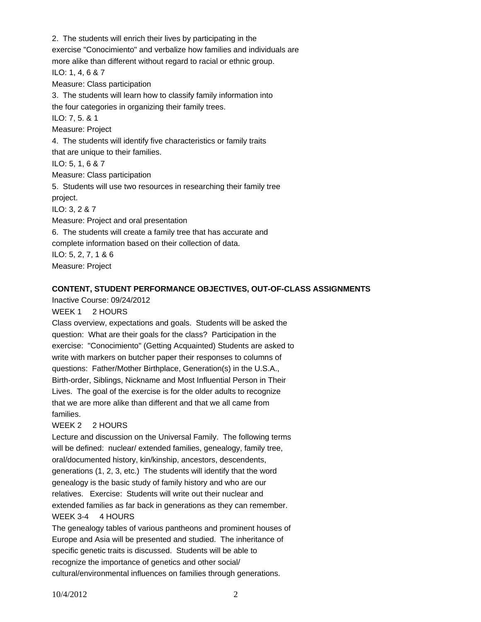2. The students will enrich their lives by participating in the exercise "Conocimiento" and verbalize how families and individuals are more alike than different without regard to racial or ethnic group. ILO: 1, 4, 6 & 7 Measure: Class participation 3. The students will learn how to classify family information into the four categories in organizing their family trees. ILO: 7, 5. & 1 Measure: Project 4. The students will identify five characteristics or family traits that are unique to their families. ILO: 5, 1, 6 & 7 Measure: Class participation 5. Students will use two resources in researching their family tree project. ILO: 3, 2 & 7 Measure: Project and oral presentation 6. The students will create a family tree that has accurate and complete information based on their collection of data. ILO: 5, 2, 7, 1 & 6 Measure: Project

### **CONTENT, STUDENT PERFORMANCE OBJECTIVES, OUT-OF-CLASS ASSIGNMENTS**

Inactive Course: 09/24/2012

### WEEK 1 2 HOURS

Class overview, expectations and goals. Students will be asked the question: What are their goals for the class? Participation in the exercise: "Conocimiento" (Getting Acquainted) Students are asked to write with markers on butcher paper their responses to columns of questions: Father/Mother Birthplace, Generation(s) in the U.S.A., Birth-order, Siblings, Nickname and Most Influential Person in Their Lives. The goal of the exercise is for the older adults to recognize that we are more alike than different and that we all came from families.

## WEEK 2 2 HOURS

Lecture and discussion on the Universal Family. The following terms will be defined: nuclear/ extended families, genealogy, family tree, oral/documented history, kin/kinship, ancestors, descendents, generations (1, 2, 3, etc.) The students will identify that the word genealogy is the basic study of family history and who are our relatives. Exercise: Students will write out their nuclear and extended families as far back in generations as they can remember. WEEK 3-4 4 HOURS

The genealogy tables of various pantheons and prominent houses of Europe and Asia will be presented and studied. The inheritance of specific genetic traits is discussed. Students will be able to recognize the importance of genetics and other social/ cultural/environmental influences on families through generations.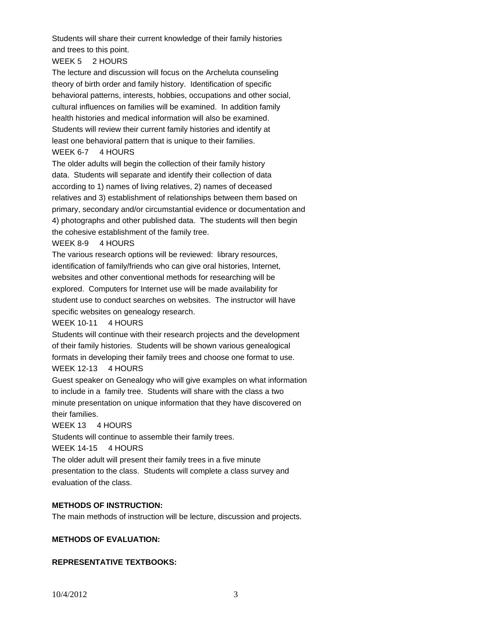Students will share their current knowledge of their family histories and trees to this point.

# WEEK 5 2 HOURS

The lecture and discussion will focus on the Archeluta counseling theory of birth order and family history. Identification of specific behavioral patterns, interests, hobbies, occupations and other social, cultural influences on families will be examined. In addition family health histories and medical information will also be examined. Students will review their current family histories and identify at least one behavioral pattern that is unique to their families. WEEK 6-7 4 HOURS

The older adults will begin the collection of their family history data. Students will separate and identify their collection of data according to 1) names of living relatives, 2) names of deceased relatives and 3) establishment of relationships between them based on primary, secondary and/or circumstantial evidence or documentation and 4) photographs and other published data. The students will then begin the cohesive establishment of the family tree.

### WEEK 8-9 4 HOURS

The various research options will be reviewed: library resources, identification of family/friends who can give oral histories, Internet, websites and other conventional methods for researching will be explored. Computers for Internet use will be made availability for student use to conduct searches on websites. The instructor will have specific websites on genealogy research.

## WEEK 10-11 4 HOURS

Students will continue with their research projects and the development of their family histories. Students will be shown various genealogical formats in developing their family trees and choose one format to use.

#### WEEK 12-13 4 HOURS

Guest speaker on Genealogy who will give examples on what information to include in a family tree. Students will share with the class a two minute presentation on unique information that they have discovered on their families.

#### WEEK 13 4 HOURS

Students will continue to assemble their family trees.

WEEK 14-15 4 HOURS

The older adult will present their family trees in a five minute presentation to the class. Students will complete a class survey and evaluation of the class.

## **METHODS OF INSTRUCTION:**

The main methods of instruction will be lecture, discussion and projects.

## **METHODS OF EVALUATION:**

## **REPRESENTATIVE TEXTBOOKS:**